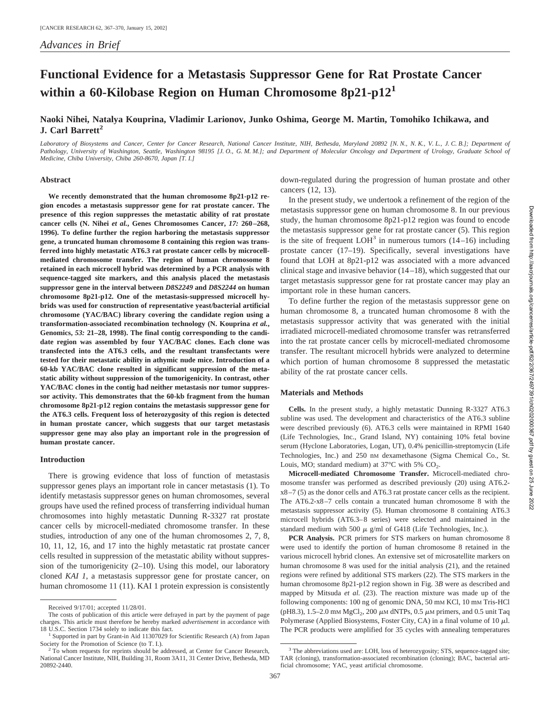# **Functional Evidence for a Metastasis Suppressor Gene for Rat Prostate Cancer within a 60-Kilobase Region on Human Chromosome 8p21-p12<sup>1</sup>**

# **Naoki Nihei, Natalya Kouprina, Vladimir Larionov, Junko Oshima, George M. Martin, Tomohiko Ichikawa, and J. Carl Barrett<sup>2</sup>**

*Laboratory of Biosystems and Cancer, Center for Cancer Research, National Cancer Institute, NIH, Bethesda, Maryland 20892 [N. N., N. K., V. L., J. C. B.]; Department of Pathology, University of Washington, Seattle, Washington 98195 [J. O., G. M. M.]; and Department of Molecular Oncology and Department of Urology, Graduate School of Medicine, Chiba University, Chiba 260-8670, Japan [T. I.]*

#### **Abstract**

**We recently demonstrated that the human chromosome 8p21-p12 region encodes a metastasis suppressor gene for rat prostate cancer. The presence of this region suppresses the metastatic ability of rat prostate cancer cells (N. Nihei** *et al.***, Genes Chromosomes Cancer,** *17:* **260–268, 1996). To define further the region harboring the metastasis suppressor gene, a truncated human chromosome 8 containing this region was transferred into highly metastatic AT6.3 rat prostate cancer cells by microcellmediated chromosome transfer. The region of human chromosome 8 retained in each microcell hybrid was determined by a PCR analysis with sequence-tagged site markers, and this analysis placed the metastasis suppressor gene in the interval between** *D8S2249* **and** *D8S2244* **on human chromosome 8p21-p12. One of the metastasis-suppressed microcell hybrids was used for construction of representative yeast/bacterial artificial chromosome (YAC/BAC) library covering the candidate region using a transformation-associated recombination technology (N. Kouprina** *et al.***, Genomics,** *53:* **21–28, 1998). The final contig corresponding to the candidate region was assembled by four YAC/BAC clones. Each clone was transfected into the AT6.3 cells, and the resultant transfectants were tested for their metastatic ability in athymic nude mice. Introduction of a 60-kb YAC/BAC clone resulted in significant suppression of the metastatic ability without suppression of the tumorigenicity. In contrast, other YAC/BAC clones in the contig had neither metastasis nor tumor suppressor activity. This demonstrates that the 60-kb fragment from the human chromosome 8p21-p12 region contains the metastasis suppressor gene for the AT6.3 cells. Frequent loss of heterozygosity of this region is detected in human prostate cancer, which suggests that our target metastasis suppressor gene may also play an important role in the progression of human prostate cancer.**

#### **Introduction**

There is growing evidence that loss of function of metastasis suppressor genes plays an important role in cancer metastasis (1). To identify metastasis suppressor genes on human chromosomes, several groups have used the refined process of transferring individual human chromosomes into highly metastatic Dunning R-3327 rat prostate cancer cells by microcell-mediated chromosome transfer. In these studies, introduction of any one of the human chromosomes 2, 7, 8, 10, 11, 12, 16, and 17 into the highly metastatic rat prostate cancer cells resulted in suppression of the metastatic ability without suppression of the tumorigenicity (2–10). Using this model, our laboratory cloned *KAI 1*, a metastasis suppressor gene for prostate cancer, on human chromosome 11 (11). KAI 1 protein expression is consistently

down-regulated during the progression of human prostate and other cancers (12, 13).

In the present study, we undertook a refinement of the region of the metastasis suppressor gene on human chromosome 8. In our previous study, the human chromosome 8p21-p12 region was found to encode the metastasis suppressor gene for rat prostate cancer (5). This region is the site of frequent  $LOH<sup>3</sup>$  in numerous tumors (14–16) including prostate cancer (17–19). Specifically, several investigations have found that LOH at 8p21-p12 was associated with a more advanced clinical stage and invasive behavior (14–18), which suggested that our target metastasis suppressor gene for rat prostate cancer may play an important role in these human cancers.

To define further the region of the metastasis suppressor gene on human chromosome 8, a truncated human chromosome 8 with the metastasis suppressor activity that was generated with the initial irradiated microcell-mediated chromosome transfer was retransferred into the rat prostate cancer cells by microcell-mediated chromosome transfer. The resultant microcell hybrids were analyzed to determine which portion of human chromosome 8 suppressed the metastatic ability of the rat prostate cancer cells.

#### **Materials and Methods**

**Cells.** In the present study, a highly metastatic Dunning R-3327 AT6.3 subline was used. The development and characteristics of the AT6.3 subline were described previously (6). AT6.3 cells were maintained in RPMI 1640 (Life Technologies, Inc., Grand Island, NY) containing 10% fetal bovine serum (Hyclone Laboratories, Logan, UT), 0.4% penicillin-streptomycin (Life Technologies, Inc.) and 250 nM dexamethasone (Sigma Chemical Co., St. Louis, MO; standard medium) at  $37^{\circ}$ C with 5% CO<sub>2</sub>.

**Microcell-mediated Chromosome Transfer.** Microcell-mediated chromosome transfer was performed as described previously (20) using AT6.2 x8–7 (5) as the donor cells and AT6.3 rat prostate cancer cells as the recipient. The AT6.2-x8–7 cells contain a truncated human chromosome 8 with the metastasis suppressor activity (5). Human chromosome 8 containing AT6.3 microcell hybrids (AT6.3–8 series) were selected and maintained in the standard medium with 500  $\mu$  g/ml of G418 (Life Technologies, Inc.).

**PCR Analysis.** PCR primers for STS markers on human chromosome 8 were used to identify the portion of human chromosome 8 retained in the various microcell hybrid clones. An extensive set of microsatellite markers on human chromosome 8 was used for the initial analysis (21), and the retained regions were refined by additional STS markers (22). The STS markers in the human chromosome 8p21-p12 region shown in Fig. 3*B* were as described and mapped by Mitsuda *et al.* (23). The reaction mixture was made up of the following components: 100 ng of genomic DNA, 50 mM KCl, 10 mM Tris-HCl (pH8.3), 1.5–2.0 mM MgCl<sub>2</sub>, 200  $\mu$ M dNTPs, 0.5  $\mu$ M primers, and 0.5 unit Taq Polymerase (Applied Biosystems, Foster City, CA) in a final volume of 10  $\mu$ l. The PCR products were amplified for 35 cycles with annealing temperatures

Received 9/17/01; accepted 11/28/01.

The costs of publication of this article were defrayed in part by the payment of page charges. This article must therefore be hereby marked *advertisement* in accordance with

Supported in part by Grant-in Aid 11307029 for Scientific Research (A) from Japan Society for the Promotion of Science (to T. I.). <sup>2</sup> To whom requests for reprints should be addressed, at Center for Cancer Research,

National Cancer Institute, NIH, Building 31, Room 3A11, 31 Center Drive, Bethesda, MD 20892-2440.

<sup>&</sup>lt;sup>3</sup> The abbreviations used are: LOH, loss of heterozygosity; STS, sequence-tagged site; TAR (cloning), transformation-associated recombination (cloning); BAC, bacterial artificial chromosome; YAC, yeast artificial chromosome.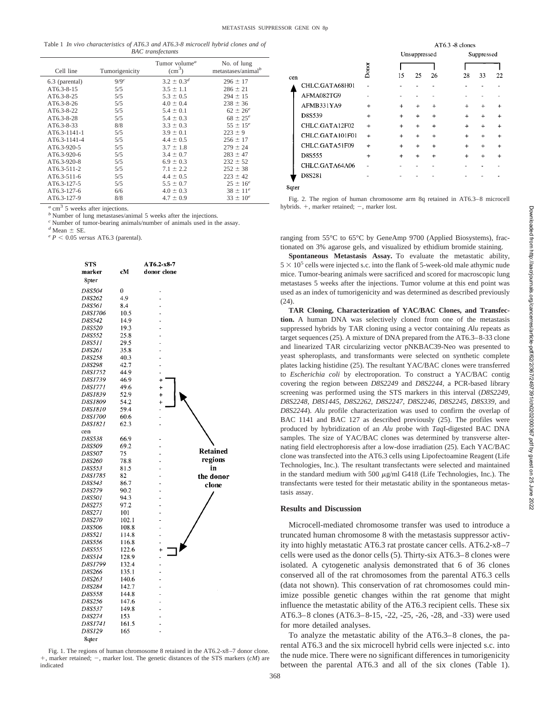|                          |  | Table 1 In vivo characteristics of AT6.3 and AT6.3-8 microcell hybrid clones and of |  |  |  |  |  |  |  |
|--------------------------|--|-------------------------------------------------------------------------------------|--|--|--|--|--|--|--|
| <b>BAC</b> transfectants |  |                                                                                     |  |  |  |  |  |  |  |

|                |                    | Tumor volume <sup><math>a</math></sup> | No. of lung            |
|----------------|--------------------|----------------------------------------|------------------------|
| Cell line      | Tumorigenicity     | $\rm (cm^3)$                           | metastases/animal $^b$ |
| 6.3 (parental) | $9/9$ <sup>c</sup> | $3.2 \pm 0.3^d$                        | $296 \pm 17$           |
| AT6.3-8-15     | 5/5                | $3.5 \pm 1.1$                          | $286 \pm 21$           |
| AT6.3-8-25     | 5/5                | $5.3 \pm 0.5$                          | $294 \pm 15$           |
| AT6.3-8-26     | 5/5                | $4.0 \pm 0.4$                          | $238 \pm 36$           |
| AT6.3-8-22     | 5/5                | $5.4 \pm 0.1$                          | $62 \pm 26^e$          |
| AT6.3-8-28     | 5/5                | $5.4 \pm 0.3$                          | $68 \pm 25^e$          |
| AT6.3-8-33     | 8/8                | $3.3 \pm 0.3$                          | $55 \pm 15^e$          |
| AT6.3-1141-1   | 5/5                | $3.9 \pm 0.1$                          | $223 \pm 9$            |
| AT6.3-1141-4   | 5/5                | $4.4 \pm 0.5$                          | $256 \pm 17$           |
| AT6.3-920-5    | 5/5                | $3.7 \pm 1.8$                          | $279 \pm 24$           |
| AT6.3-920-6    | 5/5                | $3.4 \pm 0.7$                          | $283 \pm 47$           |
| AT6.3-920-8    | 5/5                | $6.9 \pm 0.3$                          | $232 \pm 52$           |
| AT6.3-511-2    | 5/5                | $7.1 \pm 2.2$                          | $252 \pm 38$           |
| AT6.3-511-6    | 5/5                | $4.4 \pm 0.5$                          | $223 \pm 42$           |
| AT6.3-127-5    | 5/5                | $5.5 \pm 0.7$                          | $25 \pm 16^e$          |
| AT6.3-127-6    | 6/6                | $4.0 \pm 0.3$                          | $38 \pm 11^{e}$        |
| AT6.3-127-9    | 8/8                | $4.7 \pm 0.9$                          | $33 \pm 10^e$          |

 $a$  cm<sup>3</sup> 5 weeks after injections. *b* Number of lung metastases/animal 5 weeks after the injections.

<sup>*c*</sup> Number of tumor-bearing animals/number of animals used in the assay.<br> $\frac{d}{dx}$  Mean  $\pm$  SE.

 $\epsilon$  *P* < 0.05 *versus* AT6.3 (parental).

| <b>STS</b><br>marker<br>8 <sub>pter</sub> | cМ             | AT6.2-x8-7<br>donor clone |                 |
|-------------------------------------------|----------------|---------------------------|-----------------|
| D8S504                                    | 0              |                           |                 |
| D8S262                                    | 4.9            | -                         |                 |
| D8S561                                    | 8.4            |                           |                 |
| D8S1706                                   | 10.5           | L                         |                 |
| D8S542                                    | 14.9           | í.                        |                 |
| D8S520                                    | 19.3           | ÷                         |                 |
| D8S552                                    | 25.8           | L,                        |                 |
| D8S511                                    | 29.5           |                           |                 |
| D8S261                                    | 35.8           |                           |                 |
| D8S258                                    | 40.3           |                           |                 |
| D8S298                                    | 42.7           | ä,                        |                 |
| D8S1752                                   | 44.9           |                           |                 |
| D8S1739                                   | 46.9           | $\ddot{}$                 |                 |
| D8S1771                                   | 49.6           | $\ddot{}$                 |                 |
| D8S1839                                   | 52.9           | $\ddotmark$               |                 |
| <b>D8S1809</b>                            | 54.2           | +                         |                 |
| D8S1810                                   | 59.4           |                           |                 |
| D8S1700                                   | 60.6           |                           |                 |
| D8S1821                                   | 62.3           |                           |                 |
| cen                                       |                |                           |                 |
| D8S538                                    | 66.9           |                           |                 |
| D8S509                                    | 69.2           | -                         |                 |
| D8S507                                    | 75             | ä,                        | <b>Retained</b> |
| D8S260                                    | 78.8           |                           | regions         |
| D8S553                                    | 81.5           |                           | in              |
| D8S1785                                   | 82             |                           | the donor       |
| D8S543                                    | 86.7           | -                         | clone           |
| D8S279                                    | 90.2           |                           |                 |
| D8S501                                    | 94.3           |                           |                 |
| D8S275                                    | 97.2           | ÷                         |                 |
| D8S271                                    | 101            |                           |                 |
| D8S270                                    | 102.1          |                           |                 |
| D8S506                                    | 108.8          |                           |                 |
| D8S521                                    | 114.8          | L,                        |                 |
| D8S556                                    | 116.8          |                           |                 |
| D8S555                                    | 122.6          | $\ddot{}$                 |                 |
| D8S514                                    | 128.9          | -                         |                 |
| D8S1799                                   | 132.4          | -                         |                 |
| D8S266                                    | 135.1          |                           |                 |
| D8S263                                    | 140.6          |                           |                 |
| D8S284                                    | 142.7          | ÷                         |                 |
| D8S558                                    | 144.8          |                           |                 |
| D8S256<br>D8S537                          | 147.6<br>149.8 | -                         |                 |
| D8S274                                    | 153            | Ĭ.                        |                 |
| D8S1741                                   | 161.5          |                           |                 |
| D8S129                                    | 165            |                           |                 |
| 8qter                                     |                |                           |                 |
|                                           |                |                           |                 |

Fig. 1. The regions of human chromosome 8 retained in the AT6.2-x8–7 donor clone. +, marker retained; -, marker lost. The genetic distances of the STS markers (cM) are indicated

|                 |           |           | $AT6.3 - 8$ clones |           |           |            |           |  |
|-----------------|-----------|-----------|--------------------|-----------|-----------|------------|-----------|--|
|                 |           |           | Unsuppressed       |           |           | Suppressed |           |  |
|                 | Donor     |           |                    |           |           |            |           |  |
| cen             |           | 15        | 25                 | 26        | 28        | 33         | 22        |  |
| CHLC.GATA68H01  |           |           |                    |           |           |            |           |  |
| AFMA082TG9      |           |           |                    |           |           |            |           |  |
| AFMB331YA9      | $\ddot{}$ | $\div$    | $\div$             | $\ddot{}$ | $\ddot{}$ | $\ddot{}$  |           |  |
| D8S539          | $+$       | $\ddot{}$ | +                  | 4         | $+$       | $\ddot{}$  | $+$       |  |
| CHLC.GATA12F02  | $+$       | $\ddot{}$ | $\ddot{}$          | $+$       | $\div$    | $\ddot{}$  | $\ddot{}$ |  |
| CHLC.GATA101F01 | $\div$    | $\ddot{}$ | $\ddot{}$          | $+$       | $\ddot{}$ | $\ddot{}$  | $\ddot{}$ |  |
| CHLC.GATA51F09  | $\div$    | $\ddot{}$ | $\ddot{}$          | $+$       | $+$       | $+$        | $\ddot{}$ |  |
| D8S555          | $\ddot{}$ | $\ddot{}$ | 4                  | $+$       | $\ddot{}$ | $\ddot{}$  | $\ddot{}$ |  |
| CHLC.GATA64A06  |           |           |                    |           |           |            |           |  |
| D8S281          |           |           |                    |           |           |            |           |  |
| 8qter           |           |           |                    |           |           |            |           |  |

Fig. 2. The region of human chromosome arm 8q retained in AT6.3–8 microcell hybrids. +, marker retained; -, marker lost.

ranging from 55°C to 65°C by GeneAmp 9700 (Applied Biosystems), fractionated on 3% agarose gels, and visualized by ethidium bromide staining.

**Spontaneous Metastasis Assay.** To evaluate the metastatic ability,  $5 \times 10^5$  cells were injected s.c. into the flank of 5-week-old male athymic nude mice. Tumor-bearing animals were sacrificed and scored for macroscopic lung metastases 5 weeks after the injections. Tumor volume at this end point was used as an index of tumorigenicity and was determined as described previously (24).

**TAR Cloning, Characterization of YAC/BAC Clones, and Transfection.** A human DNA was selectively cloned from one of the metastasis suppressed hybrids by TAR cloning using a vector containing *Alu* repeats as target sequences (25). A mixture of DNA prepared from the AT6.3–8-33 clone and linearized TAR circularizing vector pNKBAC39-Neo was presented to yeast spheroplasts, and transformants were selected on synthetic complete plates lacking histidine (25). The resultant YAC/BAC clones were transferred to *Escherichia coli* by electroporation. To construct a YAC/BAC contig covering the region between *D8S2249* and *D8S2244*, a PCR-based library screening was performed using the STS markers in this interval (*D8S2249*, *D8S2248*, *D8S1445*, *D8S2262*, *D8S2247*, *D8S2246*, *D8S2245*, *D8S339*, and *D8S2244*). *Alu* profile characterization was used to confirm the overlap of BAC 1141 and BAC 127 as described previously (25). The profiles were produced by hybridization of an *Alu* probe with *Taq*I-digested BAC DNA samples. The size of YAC/BAC clones was determined by transverse alternating field electrophoresis after a low-dose irradiation (25). Each YAC/BAC clone was transfected into the AT6.3 cells using Lipofectoamine Reagent (Life Technologies, Inc.). The resultant transfectants were selected and maintained in the standard medium with 500  $\mu$ g/ml G418 (Life Technologies, Inc.). The transfectants were tested for their metastatic ability in the spontaneous metastasis assay.

## **Results and Discussion**

Microcell-mediated chromosome transfer was used to introduce a truncated human chromosome 8 with the metastasis suppressor activity into highly metastatic AT6.3 rat prostate cancer cells. AT6.2-x8–7 cells were used as the donor cells (5). Thirty-six AT6.3–8 clones were isolated. A cytogenetic analysis demonstrated that 6 of 36 clones conserved all of the rat chromosomes from the parental AT6.3 cells (data not shown). This conservation of rat chromosomes could minimize possible genetic changes within the rat genome that might influence the metastatic ability of the AT6.3 recipient cells. These six AT6.3–8 clones (AT6.3–8-15, -22, -25, -26, -28, and -33) were used for more detailed analyses.

To analyze the metastatic ability of the AT6.3–8 clones, the parental AT6.3 and the six microcell hybrid cells were injected s.c. into the nude mice. There were no significant differences in tumorigenicity between the parental AT6.3 and all of the six clones (Table 1).

368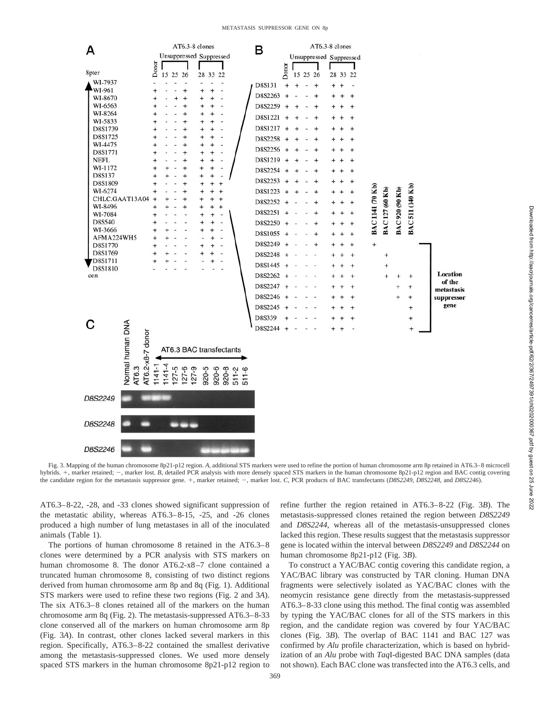#### METASTASIS SUPPRESSOR GENE ON 8p



Fig. 3. Mapping of the human chromosome 8p21-p12 region. *A,* additional STS markers were used to refine the portion of human chromosome arm 8p retained in AT6.3–8 microcell hybrids. +, marker retained; -, marker lost. *B*, detailed PCR analysis with more densely spaced STS markers in the human chromosome 8p21-p12 region and BAC contig covering the candidate region for the metastasis suppressor gene. +, marker retained; -, marker lost. *C*, PCR products of BAC transfectants (*D8S2249, D8S2248*, and *D8S2246*).

AT6.3–8-22, -28, and -33 clones showed significant suppression of the metastatic ability, whereas AT6.3–8-15, -25, and -26 clones produced a high number of lung metastases in all of the inoculated animals (Table 1).

The portions of human chromosome 8 retained in the AT6.3–8 clones were determined by a PCR analysis with STS markers on human chromosome 8. The donor AT6.2-x8–7 clone contained a truncated human chromosome 8, consisting of two distinct regions derived from human chromosome arm 8p and 8q (Fig. 1). Additional STS markers were used to refine these two regions (Fig. 2 and 3*A*). The six AT6.3–8 clones retained all of the markers on the human chromosome arm 8q (Fig. 2). The metastasis-suppressed AT6.3–8-33 clone conserved all of the markers on human chromosome arm 8p (Fig. 3*A*). In contrast, other clones lacked several markers in this region. Specifically, AT6.3–8-22 contained the smallest derivative among the metastasis-suppressed clones. We used more densely spaced STS markers in the human chromosome 8p21-p12 region to refine further the region retained in AT6.3–8-22 (Fig. 3*B*). The metastasis-suppressed clones retained the region between *D8S2249* and *D8S2244*, whereas all of the metastasis-unsuppressed clones lacked this region. These results suggest that the metastasis suppressor gene is located within the interval between *D8S2249* and *D8S2244* on human chromosome 8p21-p12 (Fig. 3*B*).

To construct a YAC/BAC contig covering this candidate region, a YAC/BAC library was constructed by TAR cloning. Human DNA fragments were selectively isolated as YAC/BAC clones with the neomycin resistance gene directly from the metastasis-suppressed AT6.3–8-33 clone using this method. The final contig was assembled by typing the YAC/BAC clones for all of the STS markers in this region, and the candidate region was covered by four YAC/BAC clones (Fig. 3*B*). The overlap of BAC 1141 and BAC 127 was confirmed by *Alu* profile characterization, which is based on hybridization of an *Alu* probe with *Taq*I-digested BAC DNA samples (data not shown). Each BAC clone was transfected into the AT6.3 cells, and